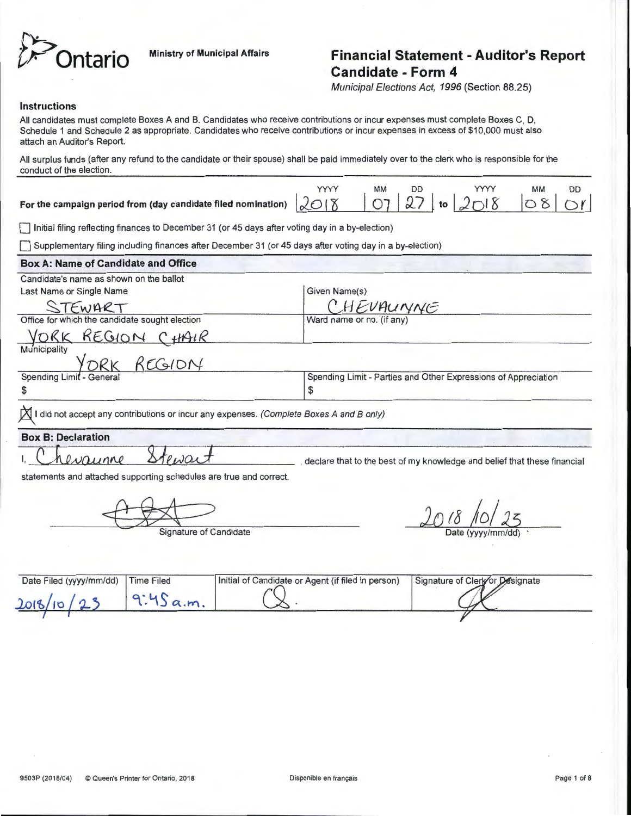

# **htario** Ministry of Municipal Affairs **Financial Statement - Auditor's Report Candidate- Form 4**

Municipal Elections Act, 1996 (Section 88.25)

#### **Instructions**

All candidates must complete Boxes A and B. Candidates who receive contributions or incur expenses must complete Boxes C, D, Schedule 1 and Schedule 2 as appropriate. Candidates who receive contributions or incur expenses in excess of \$10,000 must also attach an Auditor's Report.

All surplus funds (after any refund to the candidate or their spouse) shall be paid immediately over to the clerk who is responsible for the conduct of the election.

| For the campaign period from (day candidate filed nomination) $2018$ 07 27 to $2018$ 08 08 01 |  |  |  |  |
|-----------------------------------------------------------------------------------------------|--|--|--|--|
|                                                                                               |  |  |  |  |

0 Initial filing reflecting finances to December 31 (or 45 days after voting day in a by-election)

0 Supplementary filing including finances after December 31 (or 45 days after voting day in a by-election)

# **Box A: Name of Candidate and Office**

| Given Name(s)                                                  |
|----------------------------------------------------------------|
| CHEVAUNNE                                                      |
| Ward name or no. (if any)                                      |
|                                                                |
|                                                                |
|                                                                |
| Spending Limit - Parties and Other Expressions of Appreciation |
|                                                                |
|                                                                |

I did not accept any contributions or incur any expenses. (Complete Boxes A and B only)

## **Box B: Declaration**

Stewa  $\Omega$ vaunne

, declare that to the best of my knowledge and belief that these financial

statements and attached supporting schedules are true and correct.

 $\frac{2018}{\text{Date (yyy/mm/dd)}}$ 

| Date Filed (yyyy/mm/dd) Time Filed | Initial of Candidate or Agent (if filed in person) | Signature of Clerk or Designate |  |
|------------------------------------|----------------------------------------------------|---------------------------------|--|
| 2018/10/23                         |                                                    |                                 |  |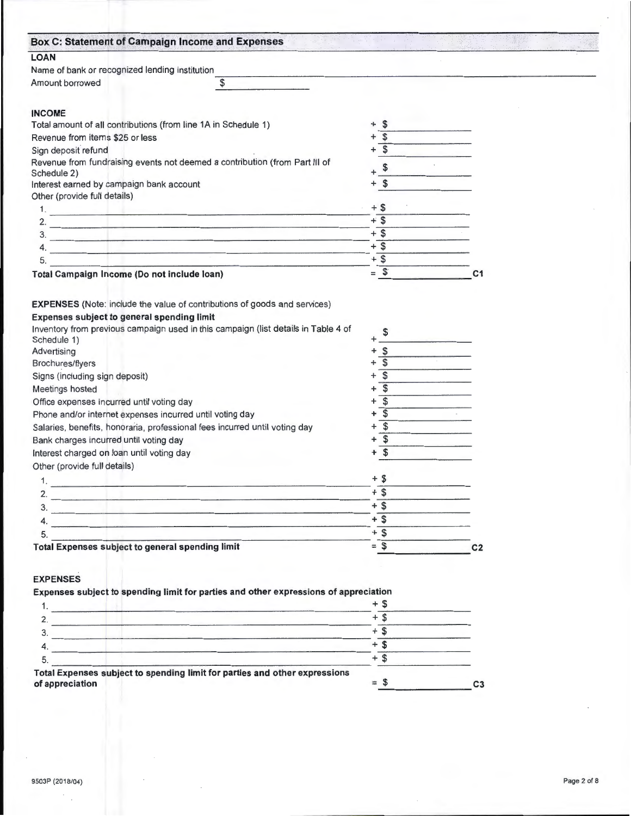| <b>Box C: Statement of Campaign Income and Expenses</b>                                                                                                                                                                                    |                           |                |
|--------------------------------------------------------------------------------------------------------------------------------------------------------------------------------------------------------------------------------------------|---------------------------|----------------|
| <b>LOAN</b>                                                                                                                                                                                                                                |                           |                |
| Name of bank or recognized lending institution                                                                                                                                                                                             |                           |                |
| Amount borrowed<br>\$                                                                                                                                                                                                                      |                           |                |
| <b>INCOME</b>                                                                                                                                                                                                                              |                           |                |
| Total amount of all contributions (from line 1A in Schedule 1)                                                                                                                                                                             | $+$ \$                    |                |
| Revenue from items \$25 or less                                                                                                                                                                                                            | \$                        |                |
| Sign deposit refund                                                                                                                                                                                                                        | $\overline{\mathfrak{s}}$ |                |
| Revenue from fundraising events not deemed a contribution (from Part III of<br>Schedule 2)                                                                                                                                                 |                           |                |
| Interest earned by campaign bank account                                                                                                                                                                                                   | \$                        |                |
| Other (provide full details)                                                                                                                                                                                                               |                           |                |
|                                                                                                                                                                                                                                            | $+$ \$                    |                |
| 2.<br><u> 1989 - Johann Stein, Amerikaansk politiker (</u>                                                                                                                                                                                 | $+$ \$                    |                |
| 3.<br><u> and the second control of the second control of the second control of the second control of the second control of the second control of the second control of the second control of the second control of the second control</u> | $+$ \$                    |                |
| <u> 1980 - Andrea Stadt British Amerikaanse kommunister († 1950)</u>                                                                                                                                                                       | $+$ \$                    |                |
| 5.<br><u> 1989 - Johann Barn, Amerikaansk politiker (</u>                                                                                                                                                                                  | $+$ \$                    |                |
| Total Campaign Income (Do not include loan)                                                                                                                                                                                                | $=$ \$                    | C <sub>1</sub> |
| <b>EXPENSES</b> (Note: include the value of contributions of goods and services)                                                                                                                                                           |                           |                |
| Expenses subject to general spending limit                                                                                                                                                                                                 |                           |                |
| Inventory from previous campaign used in this campaign (list details in Table 4 of                                                                                                                                                         |                           |                |
| Schedule 1)                                                                                                                                                                                                                                |                           |                |
| Advertising                                                                                                                                                                                                                                | $\mathfrak{S}$            |                |
| Brochures/flyers                                                                                                                                                                                                                           | $\overline{\mathsf{s}}$   |                |
| Signs (including sign deposit)                                                                                                                                                                                                             | \$                        |                |
| Meetings hosted                                                                                                                                                                                                                            | \$                        |                |
| Office expenses incurred until voting day                                                                                                                                                                                                  | $\mathfrak{s}$            |                |
| Phone and/or internet expenses incurred until voting day                                                                                                                                                                                   | $\overline{\mathcal{S}}$  |                |
| Salaries, benefits, honoraria, professional fees incurred until voting day                                                                                                                                                                 | \$                        |                |
| Bank charges incurred until voting day                                                                                                                                                                                                     | $+$ \$                    |                |
| Interest charged on loan until voting day                                                                                                                                                                                                  | $+$ \$                    |                |
| Other (provide full details)                                                                                                                                                                                                               |                           |                |
| 1.                                                                                                                                                                                                                                         | $+$ \$                    |                |
| 2.<br>and the control of the company of the control of the control of the control of the control of the control of the                                                                                                                     | + \$                      |                |
| 3.<br>the contract of the contract of the contract of the contract of the contract of the contract of the contract of                                                                                                                      | $+$ \$                    |                |
| 4.                                                                                                                                                                                                                                         | $+$ \$                    |                |
| 5.                                                                                                                                                                                                                                         | $+$ \$                    |                |
| Total Expenses subject to general spending limit                                                                                                                                                                                           | $=$ \$                    | C <sub>2</sub> |
| <b>EXPENSES</b>                                                                                                                                                                                                                            |                           |                |
| Expenses subject to spending limit for parties and other expressions of appreciation                                                                                                                                                       |                           |                |
|                                                                                                                                                                                                                                            | $+$ \$                    |                |
|                                                                                                                                                                                                                                            | $+$ \$                    |                |
| $\overline{2}$ .                                                                                                                                                                                                                           | $+$ \$                    |                |
| $\overline{\mathbf{3}}$ .                                                                                                                                                                                                                  | $+$ \$                    |                |
| 4.<br>the control of the state of the control of the control of the control of the control of the control of the control of the control of the control of the control of the control of the control of the control of the control of       | $+$ \$                    |                |
| 5.                                                                                                                                                                                                                                         |                           |                |
| Total Expenses subject to spending limit for parties and other expressions<br>of appreciation                                                                                                                                              | $=$ \$                    | C <sub>3</sub> |

9503P (2018/04) Page 2 of 8

I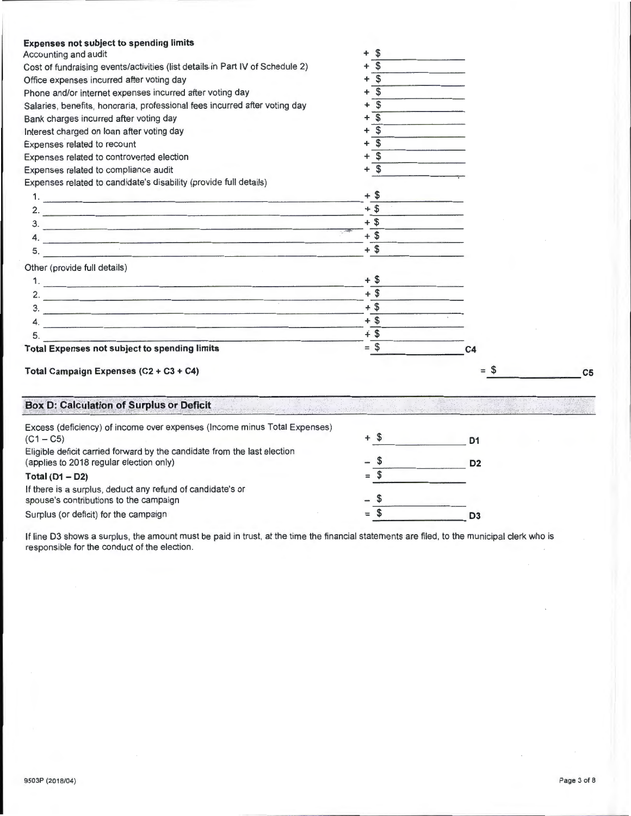| <b>Expenses not subject to spending limits</b>                                |                                      |                |                |
|-------------------------------------------------------------------------------|--------------------------------------|----------------|----------------|
| Accounting and audit                                                          | \$<br>+                              |                |                |
| Cost of fundraising events/activities (list details in Part IV of Schedule 2) | $\overline{\mathbf{s}}$<br>$\ddot{}$ |                |                |
| Office expenses incurred after voting day                                     | $\overline{\mathcal{S}}$<br>+        |                |                |
| Phone and/or internet expenses incurred after voting day                      | $\overline{\mathcal{S}}$<br>+        |                |                |
| Salaries, benefits, honoraria, professional fees incurred after voting day    | $\overline{\mathsf{s}}$<br>+         |                |                |
| Bank charges incurred after voting day                                        | $\overline{\mathsf{s}}$<br>+         |                |                |
| Interest charged on loan after voting day                                     | $\overline{\mathbf{s}}$<br>+         |                |                |
| Expenses related to recount                                                   | $\overline{\mathbf{s}}$<br>+         |                |                |
| Expenses related to controverted election                                     | $\mathfrak s$<br>+                   |                |                |
| Expenses related to compliance audit                                          | $+$ \$                               |                |                |
| Expenses related to candidate's disability (provide full details)             |                                      |                |                |
| <u>1. – Johann Barbara, mars and barbara</u>                                  | $+$ \$                               |                |                |
| 2. $\blacksquare$                                                             | $+$ \$                               |                |                |
| $\overline{\mathbf{3.}}$                                                      | $+$ \$                               |                |                |
| $\mathsf{4.}$                                                                 | $+$ \$                               |                |                |
|                                                                               | $+$ \$                               |                |                |
| Other (provide full details)                                                  |                                      |                |                |
|                                                                               | $+$ \$                               |                |                |
| 2. $\qquad \qquad$                                                            | $+$ \$                               |                |                |
|                                                                               | $+$ \$                               |                |                |
|                                                                               | $+$ \$                               |                |                |
| 5.                                                                            | $+$ \$                               |                |                |
| <b>Total Expenses not subject to spending limits</b>                          | $=$ \$                               | C <sub>4</sub> |                |
| Total Campaign Expenses (C2 + C3 + C4)                                        |                                      | $=$ \$         | C <sub>5</sub> |
| <b>Box D: Calculation of Surplus or Deficit</b>                               |                                      |                |                |
| Excess (deficiency) of income over expenses (Income minus Total Expenses)     |                                      |                |                |
| $(C1 - C5)$                                                                   | + \$                                 | D <sub>1</sub> |                |
| Eligible deficit carried forward by the candidate from the last election      |                                      |                |                |
| (applies to 2018 regular election only)                                       | - \$                                 | D <sub>2</sub> |                |
| Total $(D1 - D2)$                                                             | $=$ \$                               |                |                |
| If there is a surplus, deduct any refund of candidate's or                    |                                      |                |                |
| spouse's contributions to the campaign                                        | - \$                                 |                |                |

Surplus (or deficit) for the campaign

If line 03 shows a surplus, the amount must be paid in trust, at the time the financial statements are filed, to the municipal clerk who is responsible for the conduct of the election.

 $=$  \$

**03**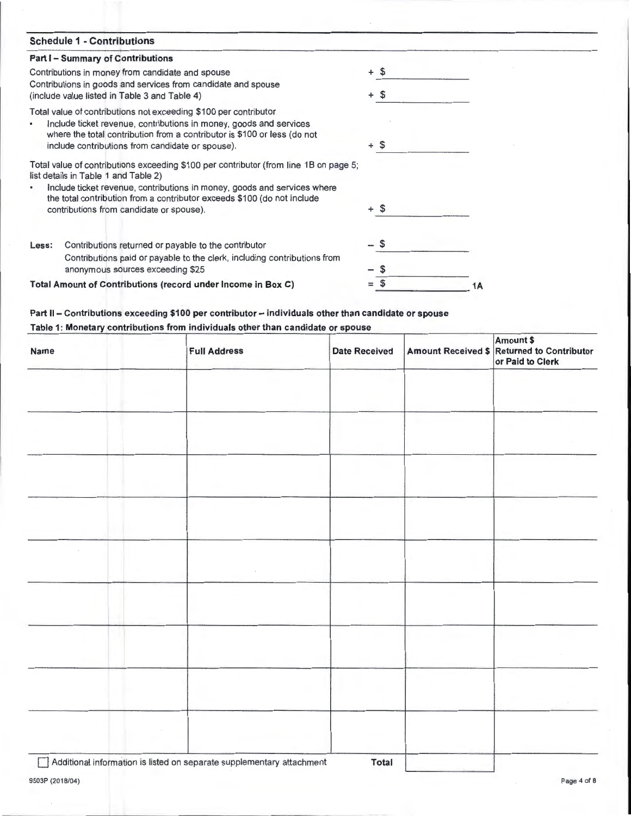| <b>Schedule 1 - Contributions</b>                                                                                                                                                                                  |        |
|--------------------------------------------------------------------------------------------------------------------------------------------------------------------------------------------------------------------|--------|
| <b>Part I - Summary of Contributions</b>                                                                                                                                                                           |        |
| Contributions in money from candidate and spouse                                                                                                                                                                   | + \$   |
| Contributions in goods and services from candidate and spouse<br>(include value listed in Table 3 and Table 4)                                                                                                     | \$     |
|                                                                                                                                                                                                                    |        |
| Total value of contributions not exceeding \$100 per contributor<br>Include ticket revenue, contributions in money, goods and services<br>where the total contribution from a contributor is \$100 or less (do not |        |
| include contributions from candidate or spouse).                                                                                                                                                                   | + \$   |
| Total value of contributions exceeding \$100 per contributor (from line 1B on page 5;<br>list details in Table 1 and Table 2)                                                                                      |        |
| Include ticket revenue, contributions in money, goods and services where<br>the total contribution from a contributor exceeds \$100 (do not include                                                                |        |
| contributions from candidate or spouse).                                                                                                                                                                           | $+$ \$ |
| Contributions returned or payable to the contributor<br>Less:                                                                                                                                                      |        |
| Contributions paid or payable to the clerk, including contributions from<br>anonymous sources exceeding \$25                                                                                                       |        |
|                                                                                                                                                                                                                    |        |
| Total Amount of Contributions (record under Income in Box C)                                                                                                                                                       | 1 Α    |

# **Part II- Contributions exceeding \$100 per contributor- individuals other than candidate or spouse**

# **Table 1: Monetary contributions from individuals other than candidate or spouse**

| <b>Name</b>                                                                  | <b>Full Address</b> | <b>Date Received</b> |        | Amount \$<br>Amount Received \$ Returned to Contributor<br>or Paid to Clerk |
|------------------------------------------------------------------------------|---------------------|----------------------|--------|-----------------------------------------------------------------------------|
|                                                                              |                     |                      |        |                                                                             |
|                                                                              |                     |                      |        |                                                                             |
|                                                                              |                     |                      |        |                                                                             |
|                                                                              |                     |                      |        |                                                                             |
|                                                                              |                     |                      |        |                                                                             |
|                                                                              |                     |                      | $\sim$ |                                                                             |
|                                                                              |                     |                      |        |                                                                             |
|                                                                              |                     |                      |        |                                                                             |
|                                                                              |                     |                      |        |                                                                             |
|                                                                              |                     |                      |        |                                                                             |
| $\overline{1}$ and $\overline{1}$ and $\overline{1}$<br>$\sim$ $\sim$ $\sim$ |                     | $-1$                 |        |                                                                             |

0 Additional information is listed on separate supplementary attachment **Total**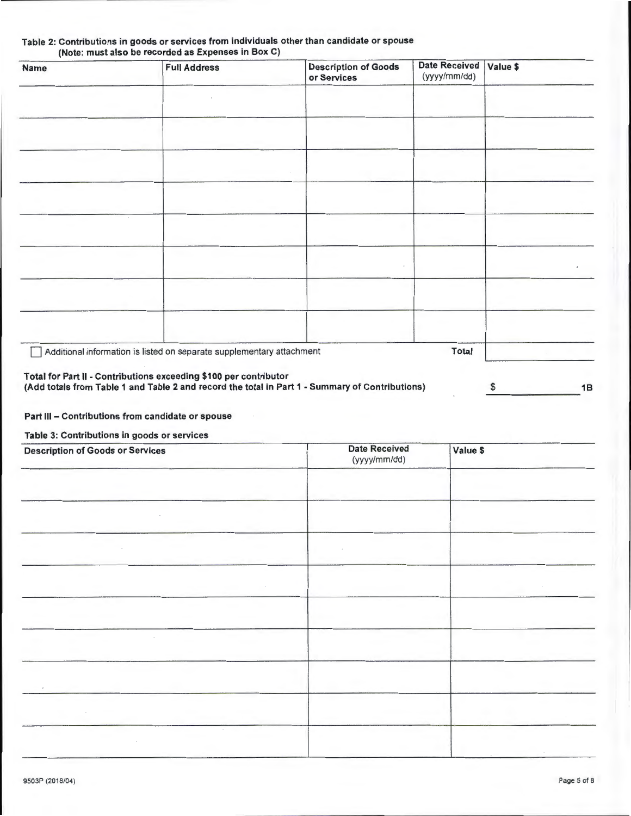| Name | <b>Full Address</b>                                                   | <b>Description of Goods</b><br>or Services | <b>Date Received</b><br>(yyyy/mm/dd) | Value \$ |
|------|-----------------------------------------------------------------------|--------------------------------------------|--------------------------------------|----------|
|      |                                                                       |                                            |                                      |          |
|      |                                                                       |                                            |                                      |          |
|      |                                                                       |                                            |                                      |          |
|      |                                                                       |                                            |                                      |          |
|      |                                                                       |                                            |                                      |          |
|      |                                                                       |                                            |                                      |          |
|      |                                                                       |                                            |                                      |          |
|      |                                                                       |                                            |                                      |          |
|      |                                                                       |                                            |                                      |          |
|      | Additional information is listed on separate supplementary attachment |                                            | <b>Total</b>                         |          |

#### Table 2: Contributions in goods or services from individuals other than candidate or spouse (Note: must also be recorded as Expenses in Box C)

Part III - Contributions from candidate or spouse

## Table 3: Contributions in goods or services

| <b>Description of Goods or Services</b> | <b>Date Received</b><br>(yyyy/mm/dd) | Value \$ |
|-----------------------------------------|--------------------------------------|----------|
|                                         |                                      |          |
|                                         |                                      |          |
|                                         |                                      |          |
|                                         |                                      |          |
|                                         |                                      |          |
|                                         |                                      |          |
|                                         |                                      |          |
|                                         |                                      |          |
|                                         |                                      |          |
|                                         |                                      |          |
|                                         |                                      |          |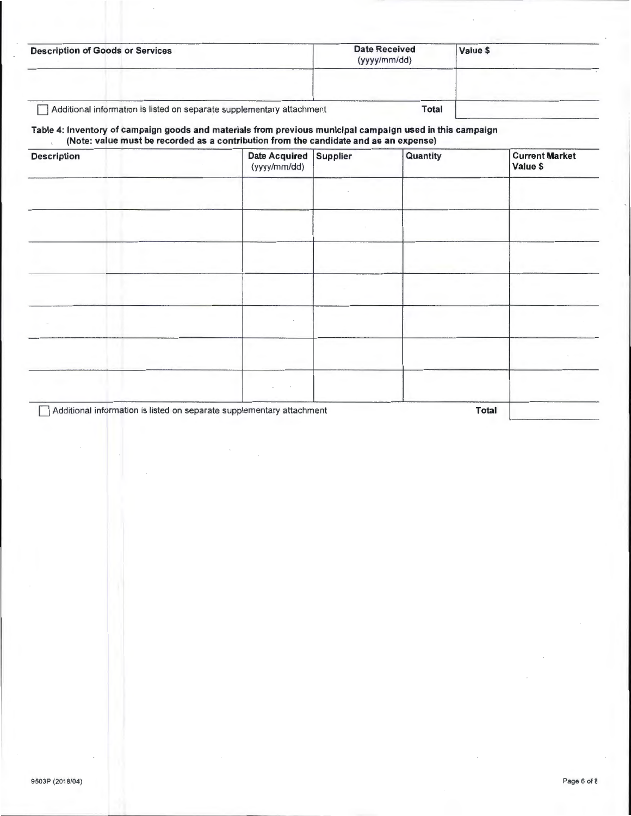| <b>Description of Goods or Services</b>                               | <b>Date Received</b><br>(yyyy/mm/dd) | Value \$ |  |
|-----------------------------------------------------------------------|--------------------------------------|----------|--|
|                                                                       |                                      |          |  |
| Additional information is listed on separate supplementary attachment | <b>Total</b>                         |          |  |

#### Table 4: Inventory of campaign goods and materials from previous municipal campaign used in this campaign (Note: value must be recorded as a contribution from the candidate and as an expense)

| <b>Description</b> | <b>Date Acquired</b><br>(yyyy/mm/dd)                                  | Supplier | Quantity     | <b>Current Market</b><br>Value \$ |
|--------------------|-----------------------------------------------------------------------|----------|--------------|-----------------------------------|
|                    |                                                                       |          |              |                                   |
|                    |                                                                       |          |              |                                   |
|                    |                                                                       |          |              |                                   |
|                    |                                                                       |          |              |                                   |
|                    |                                                                       |          |              |                                   |
|                    |                                                                       |          |              |                                   |
|                    |                                                                       |          |              |                                   |
|                    | Additional information is listed on separate supplementary attachment |          | <b>Total</b> |                                   |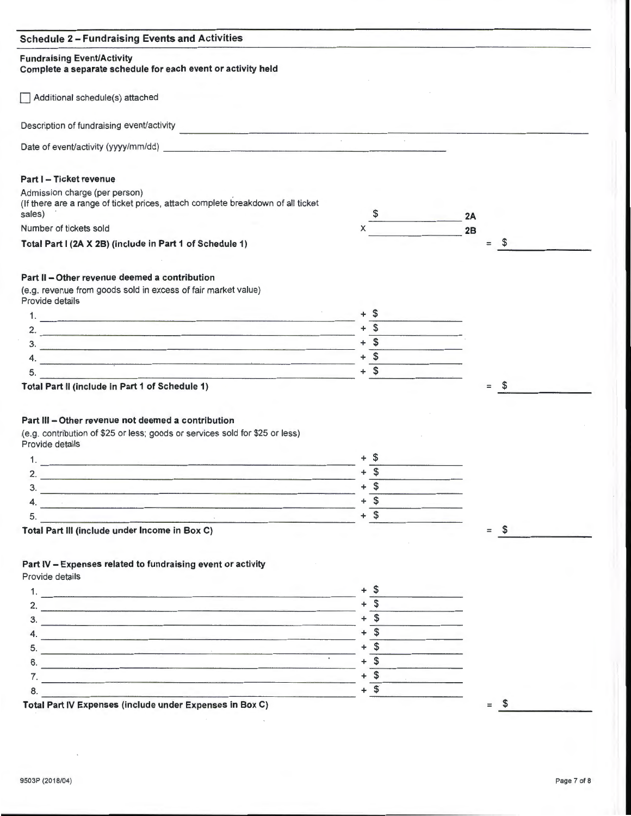| <b>Fundraising Event/Activity</b><br>Complete a separate schedule for each event or activity held                                                                                                                                                                                 |           |                       |    |
|-----------------------------------------------------------------------------------------------------------------------------------------------------------------------------------------------------------------------------------------------------------------------------------|-----------|-----------------------|----|
| Additional schedule(s) attached                                                                                                                                                                                                                                                   |           |                       |    |
| Description of fundraising event/activity<br><u>in a company of the company of the company of the company of the company of the company of the company of the company of the company of the company of the company of the company of the company of the company of the compan</u> |           |                       |    |
| Date of event/activity (yyyy/mm/dd)                                                                                                                                                                                                                                               |           |                       |    |
| Part I - Ticket revenue                                                                                                                                                                                                                                                           |           |                       |    |
| Admission charge (per person)<br>(If there are a range of ticket prices, attach complete breakdown of all ticket<br>sales)                                                                                                                                                        |           | 2A                    |    |
| Number of tickets sold                                                                                                                                                                                                                                                            |           | 2B                    |    |
| Total Part I (2A X 2B) (include in Part 1 of Schedule 1)                                                                                                                                                                                                                          |           | $=$                   | \$ |
| Part II - Other revenue deemed a contribution                                                                                                                                                                                                                                     |           |                       |    |
| (e.g. revenue from goods sold in excess of fair market value)<br>Provide details                                                                                                                                                                                                  |           |                       |    |
| 1.                                                                                                                                                                                                                                                                                | + S       |                       |    |
| 2. $\blacksquare$                                                                                                                                                                                                                                                                 | $+$ \$    |                       |    |
| $\overline{\mathbf{3}}$ .                                                                                                                                                                                                                                                         | $+$ \$    |                       |    |
|                                                                                                                                                                                                                                                                                   | $+$ \$    |                       |    |
| 5.                                                                                                                                                                                                                                                                                | $+$ \$    |                       |    |
| Total Part II (include in Part 1 of Schedule 1)<br>Part III - Other revenue not deemed a contribution<br>(e.g. contribution of \$25 or less; goods or services sold for \$25 or less)                                                                                             |           |                       |    |
| Provide details                                                                                                                                                                                                                                                                   |           |                       |    |
|                                                                                                                                                                                                                                                                                   |           |                       |    |
| 2.<br>the contract of the contract of the contract of the contract of the contract of the contract of the contract of                                                                                                                                                             |           |                       |    |
| З.<br><u> 1988 - Johann John Stein, fransk politik (f. 1988)</u>                                                                                                                                                                                                                  | \$<br>+   |                       |    |
|                                                                                                                                                                                                                                                                                   | $+$ \$    |                       |    |
|                                                                                                                                                                                                                                                                                   |           |                       |    |
| <u> 1950 - Johann Marie Barn, maria amerikana di sebagai per</u><br>5.                                                                                                                                                                                                            | $+$ \$    |                       |    |
| the contract of the contract of the contract of the contract of the contract of the contract of the<br>Total Part III (include under Income in Box C)                                                                                                                             |           | $\mathcal{S}$<br>$=$  |    |
| Part IV - Expenses related to fundraising event or activity<br>Provide details                                                                                                                                                                                                    |           |                       |    |
|                                                                                                                                                                                                                                                                                   | $+$ \$    |                       |    |
|                                                                                                                                                                                                                                                                                   | \$        |                       |    |
| 2. $\qquad \qquad \blacksquare$                                                                                                                                                                                                                                                   | $+$ \$    |                       |    |
| $\overline{\mathbf{3}}$ .                                                                                                                                                                                                                                                         | $+$ \$    |                       |    |
|                                                                                                                                                                                                                                                                                   | \$<br>$+$ |                       |    |
| 6.                                                                                                                                                                                                                                                                                | $+$ \$    |                       |    |
|                                                                                                                                                                                                                                                                                   |           |                       |    |
| $\overline{7}$ .                                                                                                                                                                                                                                                                  | $+$ \$    |                       |    |
| 8.<br>Total Part IV Expenses (include under Expenses in Box C)                                                                                                                                                                                                                    | $+$ \$    | $\mathfrak{F}$<br>$=$ |    |

 $\overline{\phantom{a}}$